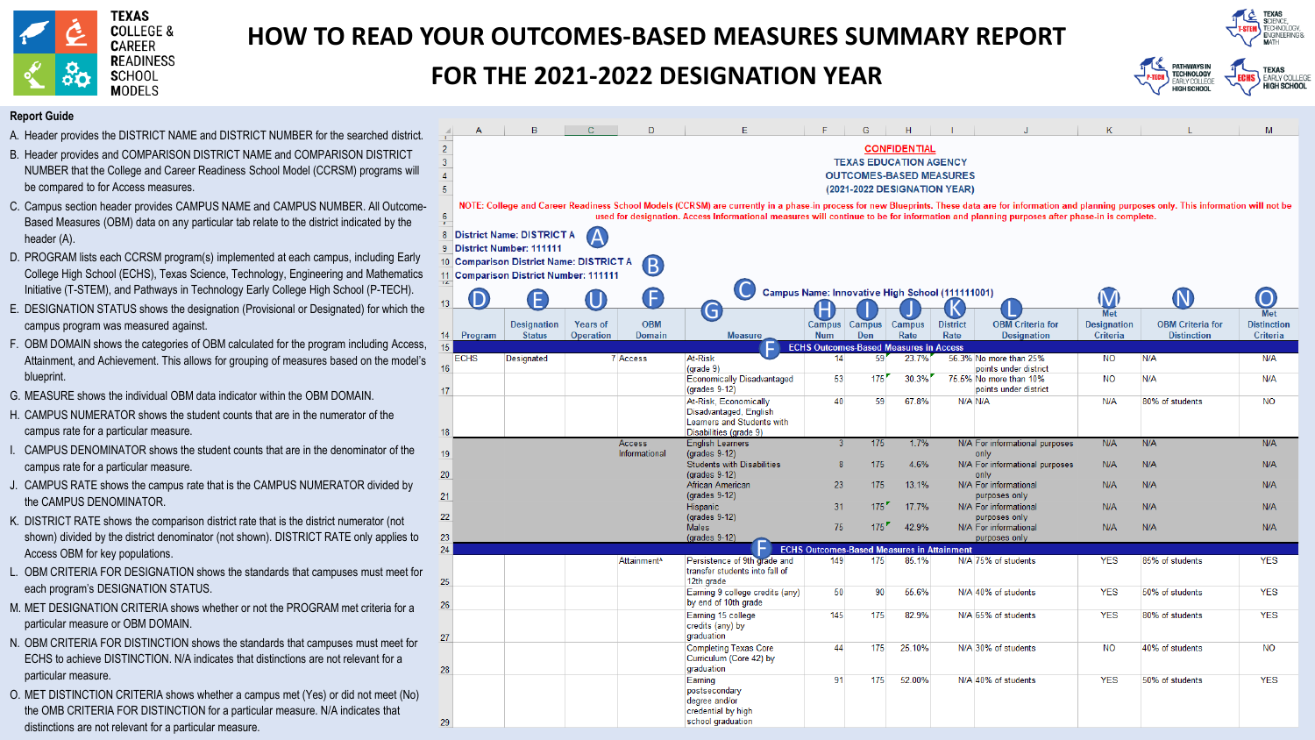

# **HOW TO READ YOUR OUTCOMES-BASED MEASURES SUMMARY REPORT**

# **FOR THE 2021-2022 DESIGNATION YEAR**



HIGH SCHOOL

### **Report Guide**

- A. Header provides the DISTRICT NAME and DISTRICT NUMBER for the searched district.
- NUMBER that the College and Career Readiness School Model (CCRSM) programs will be compared to for Access measures. B. Header provides and COMPARISON DISTRICT NAME and COMPARISON DISTRICT
- Based Measures (OBM) data on any particular tab relate to the district indicated by the C. Campus section header provides CAMPUS NAME and CAMPUS NUMBER. All Outcomeheader (A).
- College High School (ECHS), Texas Science, Technology, Engineering and Mathematics Initiative (T-STEM), and Pathways in Technology Early College High School (P-TECH). D. PROGRAM lists each CCRSM program(s) implemented at each campus, including Early
- campus program was measured against. E. DESIGNATION STATUS shows the designation (Provisional or Designated) for which the
- F. OBM DOMAIN shows the categories of OBM calculated for the program including Access, Attainment, and Achievement. This allows for grouping of measures based on the model's blueprint.
- G. MEASURE shows the individual OBM data indicator within the OBM DOMAIN.
- H. CAMPUS NUMERATOR shows the student counts that are in the numerator of the campus rate for a particular measure.
- I. CAMPUS DENOMINATOR shows the student counts that are in the denominator of the campus rate for a particular measure.
- J. CAMPUS RATE shows the campus rate that is the CAMPUS NUMERATOR divided by the CAMPUS DENOMINATOR.
- shown) divided by the district denominator (not shown). DISTRICT RATE only applies to K. DISTRICT RATE shows the comparison district rate that is the district numerator (not Access OBM for key populations.
- L. OBM CRITERIA FOR DESIGNATION shows the standards that campuses must meet for each program's DESIGNATION STATUS.
- M. MET DESIGNATION CRITERIA shows whether or not the PROGRAM met criteria for a particular measure or OBM DOMAIN.
- N. OBM CRITERIA FOR DISTINCTION shows the standards that campuses must meet for ECHS to achieve DISTINCTION. N/A indicates that distinctions are not relevant for a particular measure.
- O. MET DISTINCTION CRITERIA shows whether a campus met (Yes) or did not meet (No) the OMB CRITERIA FOR DISTINCTION for a particular measure. N/A indicates that distinctions are not relevant for a particular measure.

|                                                         | A                                                                                                                                                                                                                                                                                                                                                     | в                                       |                  | D                       | Е                                                                                    | F          | G                                                   | H      |                 |                                                 | Κ                  |                         | M                  |
|---------------------------------------------------------|-------------------------------------------------------------------------------------------------------------------------------------------------------------------------------------------------------------------------------------------------------------------------------------------------------------------------------------------------------|-----------------------------------------|------------------|-------------------------|--------------------------------------------------------------------------------------|------------|-----------------------------------------------------|--------|-----------------|-------------------------------------------------|--------------------|-------------------------|--------------------|
| $\overline{2}$<br>3<br>$\overline{4}$<br>$\overline{5}$ | <b>CONFIDENTIAL</b><br><b>TEXAS EDUCATION AGENCY</b><br><b>OUTCOMES-BASED MEASURES</b><br>(2021-2022 DESIGNATION YEAR)                                                                                                                                                                                                                                |                                         |                  |                         |                                                                                      |            |                                                     |        |                 |                                                 |                    |                         |                    |
| 6                                                       | NOTE: College and Career Readiness School Models (CCRSM) are currently in a phase-in process for new Blueprints. These data are for information and planning purposes only. This information will not be<br>used for designation. Access Informational measures will continue to be for information and planning purposes after phase-in is complete. |                                         |                  |                         |                                                                                      |            |                                                     |        |                 |                                                 |                    |                         |                    |
|                                                         |                                                                                                                                                                                                                                                                                                                                                       | 8 District Name: DISTRICT A             |                  |                         |                                                                                      |            |                                                     |        |                 |                                                 |                    |                         |                    |
| 9                                                       |                                                                                                                                                                                                                                                                                                                                                       | <b>District Number: 111111</b>          |                  |                         |                                                                                      |            |                                                     |        |                 |                                                 |                    |                         |                    |
|                                                         |                                                                                                                                                                                                                                                                                                                                                       | 10 Comparison District Name: DISTRICT A |                  | $\overline{B}$          |                                                                                      |            |                                                     |        |                 |                                                 |                    |                         |                    |
|                                                         |                                                                                                                                                                                                                                                                                                                                                       | 11 Comparison District Number: 111111   |                  |                         |                                                                                      |            |                                                     |        |                 |                                                 |                    |                         |                    |
|                                                         |                                                                                                                                                                                                                                                                                                                                                       |                                         |                  |                         |                                                                                      |            | Campus Name: Innovative High School (111111001)     |        |                 |                                                 |                    |                         |                    |
| 13 <sup>5</sup>                                         |                                                                                                                                                                                                                                                                                                                                                       |                                         |                  |                         | G                                                                                    |            |                                                     |        |                 |                                                 | <b>Met</b>         |                         | <b>Met</b>         |
|                                                         |                                                                                                                                                                                                                                                                                                                                                       | <b>Designation</b>                      | <b>Years of</b>  | <b>OBM</b>              |                                                                                      |            | Campus Campus                                       | Campus | <b>District</b> | <b>OBM</b> Criteria for                         | <b>Designation</b> | <b>OBM Criteria for</b> | <b>Distinction</b> |
| 14                                                      | Program                                                                                                                                                                                                                                                                                                                                               | <b>Status</b>                           | <b>Operation</b> | <b>Domain</b>           | <b>Measure</b>                                                                       | <b>Num</b> | Den                                                 | Rate   | Rate            | <b>Designation</b>                              | Criteria           | <b>Distinction</b>      | Criteria           |
| 15                                                      |                                                                                                                                                                                                                                                                                                                                                       |                                         |                  |                         | At-Risk                                                                              |            | <b>ECHS Outcomes-Based Measures in Access</b><br>59 |        |                 |                                                 |                    |                         |                    |
| 16                                                      | <b>ECHS</b>                                                                                                                                                                                                                                                                                                                                           | Designated                              |                  | 7 Access                | $(grade 9)$                                                                          | 14         |                                                     | 23.7%  |                 | 56.3% No more than 25%<br>points under district | <b>NO</b>          | N/A                     | N/A                |
| 17                                                      |                                                                                                                                                                                                                                                                                                                                                       |                                         |                  |                         | <b>Economically Disadvantaged</b><br>(grades 9-12)                                   | 53         | 175                                                 | 30.3%  |                 | 75.5% No more than 10%<br>points under district | NO.                | N/A                     | N/A                |
|                                                         |                                                                                                                                                                                                                                                                                                                                                       |                                         |                  |                         | At-Risk, Economically                                                                | 40         | 59                                                  | 67.8%  | N/A N/A         |                                                 | N/A                | 80% of students         | <b>NO</b>          |
| 18                                                      |                                                                                                                                                                                                                                                                                                                                                       |                                         |                  |                         | Disadvantaged, English<br>Learners and Students with<br>Disabilities (grade 9)       |            |                                                     |        |                 |                                                 |                    |                         |                    |
|                                                         |                                                                                                                                                                                                                                                                                                                                                       |                                         |                  | Access                  | <b>English Learners</b>                                                              | 3          | 175                                                 | 1.7%   |                 | N/A For informational purposes                  | N/A                | N/A                     | N/A                |
| 19                                                      |                                                                                                                                                                                                                                                                                                                                                       |                                         |                  | Informational           | (grades 9-12)<br><b>Students with Disabilities</b>                                   | 8          | 175                                                 | 4.6%   |                 | only<br>N/A For informational purposes          | N/A                | N/A                     | N/A                |
| 20                                                      |                                                                                                                                                                                                                                                                                                                                                       |                                         |                  |                         | (grades 9-12)                                                                        |            |                                                     |        |                 | only                                            |                    |                         |                    |
| 21                                                      |                                                                                                                                                                                                                                                                                                                                                       |                                         |                  |                         | African American<br>$(q rades 9-12)$                                                 | 23         | 175                                                 | 13.1%  |                 | N/A For informational<br>purposes only          | N/A                | N/A                     | N/A                |
|                                                         |                                                                                                                                                                                                                                                                                                                                                       |                                         |                  |                         | Hispanic                                                                             | 31         | 175'                                                | 17.7%  |                 | N/A For informational                           | N/A                | N/A                     | N/A                |
| 22                                                      |                                                                                                                                                                                                                                                                                                                                                       |                                         |                  |                         | (grades 9-12)<br><b>Males</b>                                                        | 75         | $175$ <sup>r</sup>                                  | 42.9%  |                 | purposes only<br>N/A For informational          | N/A                | N/A                     | N/A                |
| 23                                                      |                                                                                                                                                                                                                                                                                                                                                       |                                         |                  |                         | $(q rades 9-12)$                                                                     |            |                                                     |        |                 | purposes only                                   |                    |                         |                    |
| 24                                                      |                                                                                                                                                                                                                                                                                                                                                       |                                         |                  |                         |                                                                                      |            | <b>ECHS Outcomes-Based Measures in Attainment</b>   |        |                 |                                                 |                    |                         |                    |
| 25                                                      |                                                                                                                                                                                                                                                                                                                                                       |                                         |                  | Attainment <sup>^</sup> | Persistence of 9th grade and<br>transfer students into fall of<br>12th grade         | 149        | 175                                                 | 85.1%  |                 | N/A 75% of students                             | <b>YES</b>         | 85% of students         | <b>YES</b>         |
| 26                                                      |                                                                                                                                                                                                                                                                                                                                                       |                                         |                  |                         | Earning 9 college credits (any)<br>by end of 10th grade                              | 50         | 90                                                  | 55.6%  |                 | N/A 40% of students                             | <b>YES</b>         | 50% of students         | <b>YES</b>         |
| 27                                                      |                                                                                                                                                                                                                                                                                                                                                       |                                         |                  |                         | Earning 15 college<br>credits (any) by<br>graduation                                 | 145        | 175                                                 | 82.9%  |                 | N/A 65% of students                             | <b>YES</b>         | 80% of students         | <b>YES</b>         |
| 28                                                      |                                                                                                                                                                                                                                                                                                                                                       |                                         |                  |                         | <b>Completing Texas Core</b><br>Curriculum (Core 42) by<br>graduation                | 44         | 175                                                 | 25.10% |                 | N/A 30% of students                             | <b>NO</b>          | 40% of students         | <b>NO</b>          |
| 29                                                      |                                                                                                                                                                                                                                                                                                                                                       |                                         |                  |                         | Earning<br>postsecondary<br>degree and/or<br>credential by high<br>school graduation | 91         | 175                                                 | 52.00% |                 | N/A 40% of students                             | <b>YES</b>         | 50% of students         | <b>YES</b>         |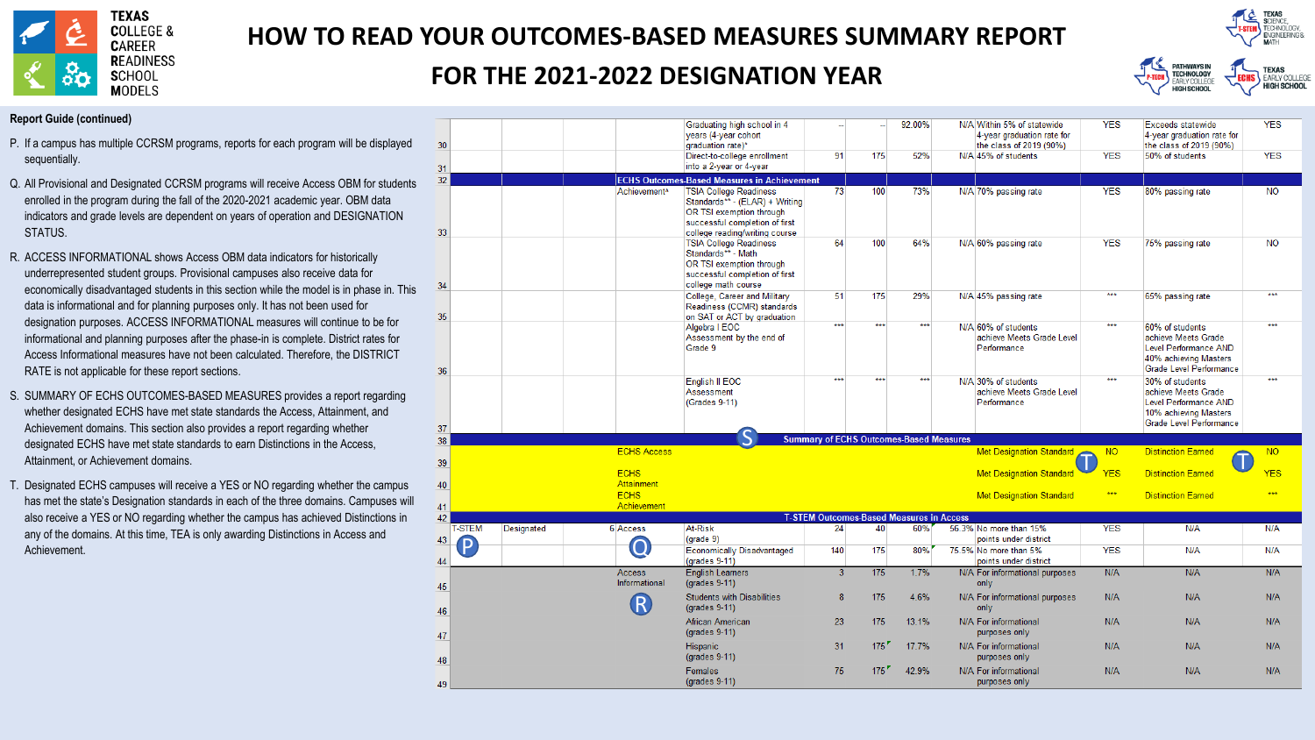

# **HOW TO READ YOUR OUTCOMES-BASED MEASURES SUMMARY REPORT**

## FOR THE 2021-2022 DESIGNATION YEAR

Craduating bigh echool in A



VEC

#### $\mathbf{K}$ PATHWAYS IN<br>TECHNOLOGY **TEXAS** EARLY COLLEGE EARLY COLLEGE HIGH SCHOOL **HIGH SCHOOL**

Expoods statewide

**Report Guide (continued)** 

- P. If a campus has multiple CCRSM programs, reports for each program will be displayed sequentially.
- Q. All Provisional and Designated CCRSM programs will receive Access OBM for students enrolled in the program during the fall of the 2020-2021 academic year. OBM data indicators and grade levels are dependent on years of operation and DESIGNATION STATUS.
- R. ACCESS INFORMATIONAL shows Access OBM data indicators for historically underrepresented student groups. Provisional campuses also receive data for economically disadvantaged students in this section while the model is in phase in. This data is informational and for planning purposes only. It has not been used for designation purposes. ACCESS INFORMATIONAL measures will continue to be for informational and planning purposes after the phase-in is complete. District rates for Access Informational measures have not been calculated. Therefore, the DISTRICT RATE is not applicable for these report sections.
- S. SUMMARY OF ECHS OUTCOMES-BASED MEASURES provides a report regarding whether designated ECHS have met state standards the Access, Attainment, and Achievement domains. This section also provides a report regarding whether designated ECHS have met state standards to earn Distinctions in the Access, Attainment, or Achievement domains.
- T. Designated ECHS campuses will receive a YES or NO regarding whether the campus has met the state's Designation standards in each of the three domains. Campuses will also receive a YES or NO regarding whether the campus has achieved Distinctions in any of the domains. At this time, TEA is only awarding Distinctions in Access and Achievement.

|                    |                                | years (4-year cohort                                                                                                                     |                                                                                               |                                                                                                     |       | 4-year graduation rate for                                      |                                                                                                                                                                                                                                                                                                 | 4-year graduation rate for                                                                                          | .                                                                                                                                 |
|--------------------|--------------------------------|------------------------------------------------------------------------------------------------------------------------------------------|-----------------------------------------------------------------------------------------------|-----------------------------------------------------------------------------------------------------|-------|-----------------------------------------------------------------|-------------------------------------------------------------------------------------------------------------------------------------------------------------------------------------------------------------------------------------------------------------------------------------------------|---------------------------------------------------------------------------------------------------------------------|-----------------------------------------------------------------------------------------------------------------------------------|
|                    |                                | Direct-to-college enrollment                                                                                                             | 91                                                                                            | 175                                                                                                 | 52%   | N/A 45% of students                                             | <b>YES</b>                                                                                                                                                                                                                                                                                      | 50% of students                                                                                                     | <b>YES</b>                                                                                                                        |
|                    |                                | into a 2-year or 4-year                                                                                                                  |                                                                                               |                                                                                                     |       |                                                                 |                                                                                                                                                                                                                                                                                                 |                                                                                                                     |                                                                                                                                   |
|                    |                                |                                                                                                                                          |                                                                                               |                                                                                                     |       |                                                                 |                                                                                                                                                                                                                                                                                                 |                                                                                                                     |                                                                                                                                   |
|                    | Achievement <sup>^</sup>       | OR TSI exemption through<br>successful completion of first<br>college reading/writing course                                             |                                                                                               | 100                                                                                                 | 73%   |                                                                 |                                                                                                                                                                                                                                                                                                 | 80% passing rate                                                                                                    | <b>NO</b>                                                                                                                         |
|                    |                                | <b>TSIA College Readiness</b><br>Standards** - Math<br>OR TSI exemption through<br>successful completion of first<br>college math course | 64                                                                                            | 100                                                                                                 | 64%   | N/A 60% passing rate                                            | <b>YES</b>                                                                                                                                                                                                                                                                                      | 75% passing rate                                                                                                    | <b>NO</b>                                                                                                                         |
|                    |                                | College, Career and Military<br>Readiness (CCMR) standards<br>on SAT or ACT by graduation                                                | 51                                                                                            | 175                                                                                                 | 29%   | N/A 45% passing rate                                            | ***                                                                                                                                                                                                                                                                                             | 65% passing rate                                                                                                    | ***                                                                                                                               |
|                    |                                | Algebra I EOC<br>Assessment by the end of<br>Grade 9                                                                                     |                                                                                               |                                                                                                     |       | N/A 60% of students<br>achieve Meets Grade Level<br>Performance |                                                                                                                                                                                                                                                                                                 | 60% of students<br>achieve Meets Grade<br>Level Performance AND<br>40% achieving Masters<br>Grade Level Performance | ***                                                                                                                               |
|                    |                                | English II EOC<br>Assessment<br>(Grades 9-11)                                                                                            | ***                                                                                           | ***                                                                                                 | ***   | N/A 30% of students<br>achieve Meets Grade Level<br>Performance | ***                                                                                                                                                                                                                                                                                             | 30% of students<br>achieve Meets Grade<br>Level Performance AND<br>10% achieving Masters                            | ***                                                                                                                               |
|                    |                                |                                                                                                                                          |                                                                                               |                                                                                                     |       |                                                                 |                                                                                                                                                                                                                                                                                                 |                                                                                                                     |                                                                                                                                   |
|                    |                                |                                                                                                                                          |                                                                                               |                                                                                                     |       |                                                                 |                                                                                                                                                                                                                                                                                                 |                                                                                                                     |                                                                                                                                   |
|                    |                                |                                                                                                                                          |                                                                                               |                                                                                                     |       |                                                                 |                                                                                                                                                                                                                                                                                                 |                                                                                                                     | NO.                                                                                                                               |
|                    | <b>Attainment</b>              |                                                                                                                                          |                                                                                               |                                                                                                     |       |                                                                 |                                                                                                                                                                                                                                                                                                 |                                                                                                                     | <b>YES</b>                                                                                                                        |
|                    | <b>ECHS</b>                    |                                                                                                                                          |                                                                                               |                                                                                                     |       | <b>Met Designation Standard</b>                                 | $***$                                                                                                                                                                                                                                                                                           | <b>Distinction Earned</b>                                                                                           | 大大大                                                                                                                               |
|                    |                                |                                                                                                                                          |                                                                                               |                                                                                                     |       |                                                                 |                                                                                                                                                                                                                                                                                                 |                                                                                                                     |                                                                                                                                   |
| Designated         | 6 Access                       | At-Risk                                                                                                                                  | 24                                                                                            | 40                                                                                                  | 60%   | 56.3% No more than 15%                                          | <b>YES</b>                                                                                                                                                                                                                                                                                      | N/A                                                                                                                 | N/A                                                                                                                               |
|                    |                                | <b>Economically Disadvantaged</b><br>(grades 9-11)                                                                                       | 140                                                                                           | 175                                                                                                 | 80%   | 75.5% No more than 5%<br>points under district                  | <b>YES</b>                                                                                                                                                                                                                                                                                      | N/A                                                                                                                 | N/A                                                                                                                               |
|                    | <b>Access</b><br>Informational | <b>English Learners</b><br>$(grades 9-11)$                                                                                               | $\overline{3}$                                                                                | 175                                                                                                 | 1.7%  | N/A For informational purposes<br>only                          |                                                                                                                                                                                                                                                                                                 | N/A                                                                                                                 | N/A                                                                                                                               |
|                    | R                              | <b>Students with Disabilities</b><br>$(grades 9-11)$                                                                                     | 8                                                                                             | 175                                                                                                 | 4.6%  | N/A For informational purposes<br>only                          | N/A                                                                                                                                                                                                                                                                                             | N/A                                                                                                                 | N/A                                                                                                                               |
|                    |                                | African American<br>$(grades 9-11)$                                                                                                      | 23                                                                                            | 175                                                                                                 | 13.1% | N/A For informational<br>purposes only                          | N/A                                                                                                                                                                                                                                                                                             | N/A                                                                                                                 | N/A                                                                                                                               |
|                    |                                | Hispanic<br>$(grades 9-11)$                                                                                                              | 31                                                                                            | 175                                                                                                 | 17.7% | N/A For informational<br>purposes only                          | N/A                                                                                                                                                                                                                                                                                             | N/A                                                                                                                 | N/A                                                                                                                               |
|                    |                                | Females<br>$(grades 9-11)$                                                                                                               | 75                                                                                            | $175$ <sup>r</sup>                                                                                  | 42.9% | N/A For informational<br>purposes only                          | N/A                                                                                                                                                                                                                                                                                             | N/A                                                                                                                 | N/A                                                                                                                               |
| <b>T-STEM</b><br>p |                                | <b>ECHS Access</b><br><b>ECHS</b><br>Achievement<br>O                                                                                    | orauuating mgn school in 4<br>graduation rate)*<br><b>TSIA College Readiness</b><br>(grade 9) | <b>ECHS Outcomes-Based Measures in Achievement</b><br>73<br>Standards** - (ELAR) + Writing<br>$***$ | ***   | JZ.UU /U<br>***                                                 | $197 \text{ N}$ vitimit 370 or statewide<br>the class of 2019 (90%)<br>N/A 70% passing rate<br><b>Summary of ECHS Outcomes-Based Measures</b><br><b>Met Designation Standard</b><br><b>Met Designation Standard</b><br><b>T-STEM Outcomes-Based Measures in Access</b><br>points under district | <u>. Lu</u><br><b>YES</b><br>$***$<br>NO <sub>1</sub><br><b>YES</b><br>N/A                                          | LACCOUS SIGIEWIUC<br>the class of 2019 (90%)<br>Grade Level Performance<br><b>Distinction Earned</b><br><b>Distinction Earned</b> |

92,00%

NI/A Within E.V. of statewide

VEO